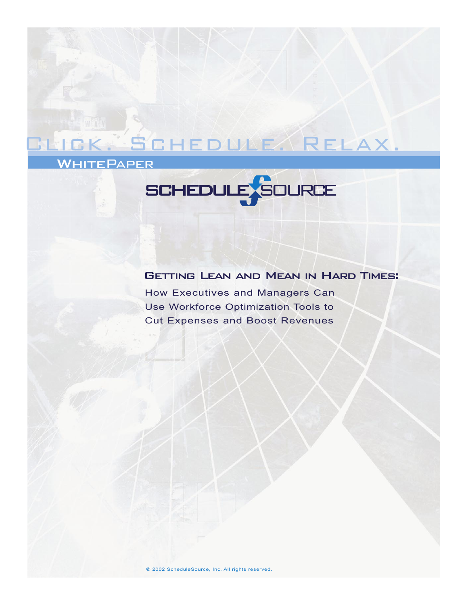# CLICK. SCHEDULE. RELAX.

# WHITEPAPER



# Getting Lean and Mean in Hard Times:

How Executives and Managers Can Use Workforce Optimization Tools to Cut Expenses and Boost Revenues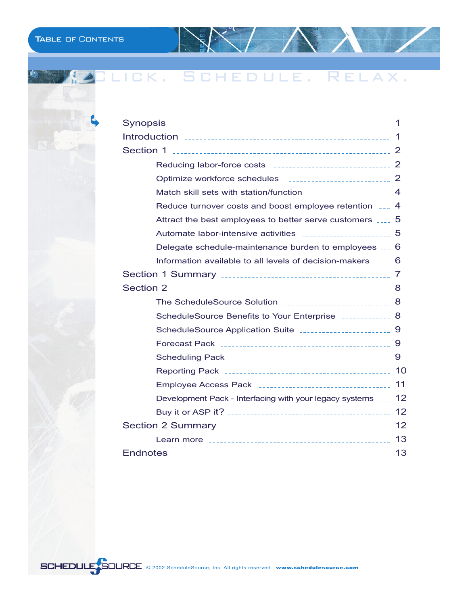# CK. SCHEDULE. RELAX.

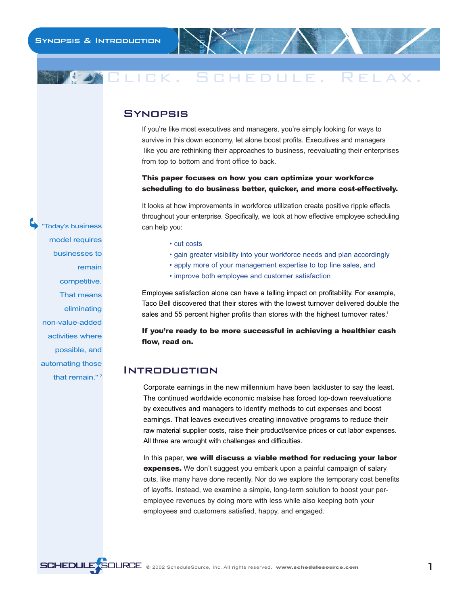# CLICK. SCHEDULE. RE

# **SYNOPSIS**

If you're like most executives and managers, you're simply looking for ways to survive in this down economy, let alone boost profits. Executives and managers like you are rethinking their approaches to business, reevaluating their enterprises from top to bottom and front office to back.

# This paper focuses on how you can optimize your workforce scheduling to do business better, quicker, and more cost-effectively.

It looks at how improvements in workforce utilization create positive ripple effects throughout your enterprise. Specifically, we look at how effective employee scheduling can help you:

- cut costs
- gain greater visibility into your workforce needs and plan accordingly
- apply more of your management expertise to top line sales, and
- improve both employee and customer satisfaction

Employee satisfaction alone can have a telling impact on profitability. For example, Taco Bell discovered that their stores with the lowest turnover delivered double the sales and 55 percent higher profits than stores with the highest turnover rates.<sup>1</sup>

If you're ready to be more successful in achieving a healthier cash flow, read on.

# **INTRODUCTION**

Corporate earnings in the new millennium have been lackluster to say the least. The continued worldwide economic malaise has forced top-down reevaluations by executives and managers to identify methods to cut expenses and boost earnings. That leaves executives creating innovative programs to reduce their raw material supplier costs, raise their product/service prices or cut labor expenses. All three are wrought with challenges and difficulties.

In this paper, we will discuss a viable method for reducing your labor **expenses.** We don't suggest you embark upon a painful campaign of salary cuts, like many have done recently. Nor do we explore the temporary cost benefits of layoffs. Instead, we examine a simple, long-term solution to boost your peremployee revenues by doing more with less while also keeping both your employees and customers satisfied, happy, and engaged.

"Today's business model requires businesses to remain competitive. That means eliminating non-value-added activities where possible, and automating those that remain."<sup>2</sup>

**SCHEDUL**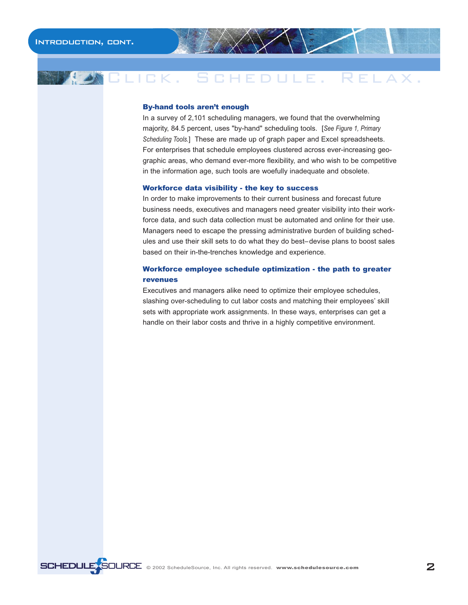# Click. Schedule. Relax.

### By-hand tools aren't enough

In a survey of 2,101 scheduling managers, we found that the overwhelming majority, 84.5 percent, uses "by-hand" scheduling tools. [*See Figure 1, Primary Scheduling Tools.*] These are made up of graph paper and Excel spreadsheets. For enterprises that schedule employees clustered across ever-increasing geographic areas, who demand ever-more flexibility, and who wish to be competitive in the information age, such tools are woefully inadequate and obsolete.

## Workforce data visibility - the key to success

In order to make improvements to their current business and forecast future business needs, executives and managers need greater visibility into their workforce data, and such data collection must be automated and online for their use. Managers need to escape the pressing administrative burden of building schedules and use their skill sets to do what they do best–devise plans to boost sales based on their in-the-trenches knowledge and experience.

# Workforce employee schedule optimization - the path to greater revenues

Executives and managers alike need to optimize their employee schedules, slashing over-scheduling to cut labor costs and matching their employees' skill sets with appropriate work assignments. In these ways, enterprises can get a handle on their labor costs and thrive in a highly competitive environment.

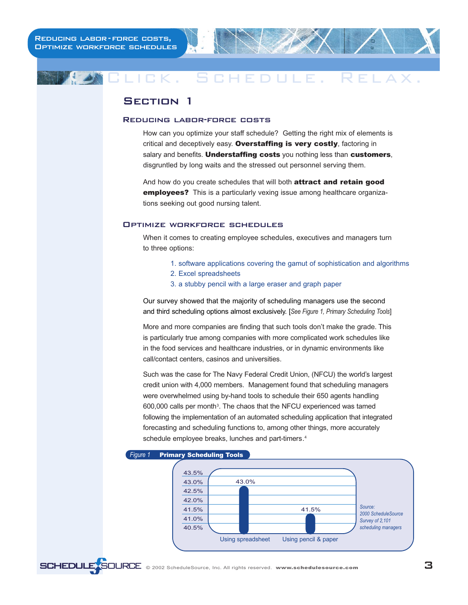

# Section 1

## Reducing labor-force costs

How can you optimize your staff schedule? Getting the right mix of elements is critical and deceptively easy. Overstaffing is very costly, factoring in salary and benefits. Understaffing costs you nothing less than customers, disgruntled by long waits and the stressed out personnel serving them.

And how do you create schedules that will both **attract and retain good** employees? This is a particularly vexing issue among healthcare organizations seeking out good nursing talent.

# Optimize workforce schedules

When it comes to creating employee schedules, executives and managers turn to three options:

- 1. software applications covering the gamut of sophistication and algorithms
- 2. Excel spreadsheets
- 3. a stubby pencil with a large eraser and graph paper

Our survey showed that the majority of scheduling managers use the second and third scheduling options almost exclusively. [*See Figure 1, Primary Scheduling Tools*]

More and more companies are finding that such tools don't make the grade. This is particularly true among companies with more complicated work schedules like in the food services and healthcare industries, or in dynamic environments like call/contact centers, casinos and universities.

Such was the case for The Navy Federal Credit Union, (NFCU) the world's largest credit union with 4,000 members. Management found that scheduling managers were overwhelmed using by-hand tools to schedule their 650 agents handling  $600,000$  calls per month<sup>3</sup>. The chaos that the NFCU experienced was tamed following the implementation of an automated scheduling application that integrated forecasting and scheduling functions to, among other things, more accurately schedule employee breaks, lunches and part-timers.<sup>4</sup>



#### **Figure 1** Primary Scheduling Tools

**SCHEDUL**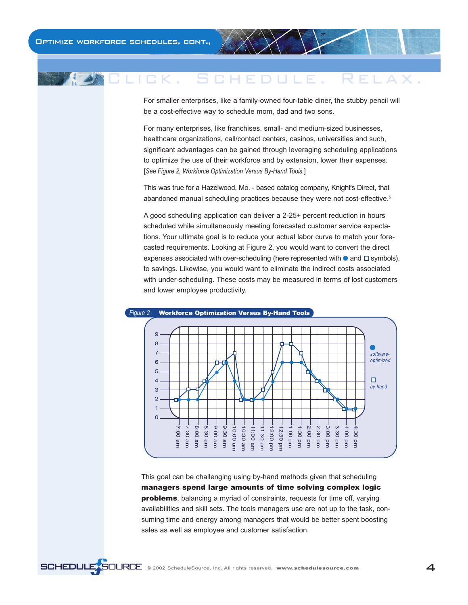# Click. Schedule. Relax.

For smaller enterprises, like a family-owned four-table diner, the stubby pencil will be a cost-effective way to schedule mom, dad and two sons.

For many enterprises, like franchises, small- and medium-sized businesses, healthcare organizations, call/contact centers, casinos, universities and such, significant advantages can be gained through leveraging scheduling applications to optimize the use of their workforce and by extension, lower their expenses. [*See Figure 2, Workforce Optimization Versus By-Hand Tools.*]

This was true for a Hazelwood, Mo. - based catalog company, Knight's Direct, that abandoned manual scheduling practices because they were not cost-effective.<sup>5</sup>

A good scheduling application can deliver a 2-25+ percent reduction in hours scheduled while simultaneously meeting forecasted customer service expectations. Your ultimate goal is to reduce your actual labor curve to match your forecasted requirements. Looking at Figure 2, you would want to convert the direct expenses associated with over-scheduling (here represented with  $\bullet$  and  $\square$  symbols), to savings. Likewise, you would want to eliminate the indirect costs associated with under-scheduling. These costs may be measured in terms of lost customers and lower employee productivity.



This goal can be challenging using by-hand methods given that scheduling managers spend large amounts of time solving complex logic **problems**, balancing a myriad of constraints, requests for time off, varying availabilities and skill sets. The tools managers use are not up to the task, consuming time and energy among managers that would be better spent boosting sales as well as employee and customer satisfaction.

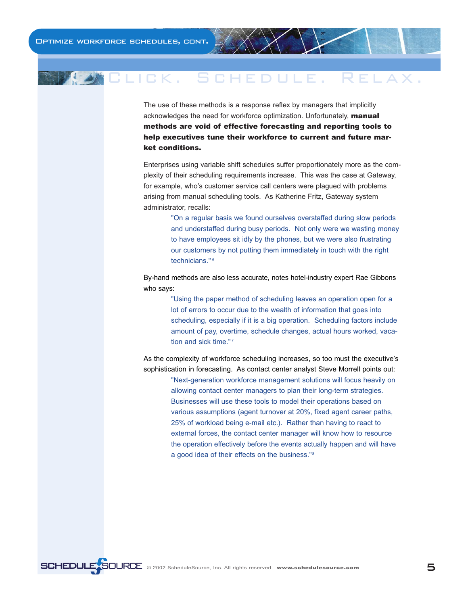# Click. Schedule. Relax.

The use of these methods is a response reflex by managers that implicitly acknowledges the need for workforce optimization. Unfortunately, **manual** methods are void of effective forecasting and reporting tools to help executives tune their workforce to current and future market conditions.

Enterprises using variable shift schedules suffer proportionately more as the complexity of their scheduling requirements increase. This was the case at Gateway, for example, who's customer service call centers were plagued with problems arising from manual scheduling tools. As Katherine Fritz, Gateway system administrator, recalls:

> "On a regular basis we found ourselves overstaffed during slow periods and understaffed during busy periods. Not only were we wasting money to have employees sit idly by the phones, but we were also frustrating our customers by not putting them immediately in touch with the right technicians." <sup>6</sup>

By-hand methods are also less accurate, notes hotel-industry expert Rae Gibbons who says:

> "Using the paper method of scheduling leaves an operation open for a lot of errors to occur due to the wealth of information that goes into scheduling, especially if it is a big operation. Scheduling factors include amount of pay, overtime, schedule changes, actual hours worked, vacation and sick time."<sup>7</sup>

As the complexity of workforce scheduling increases, so too must the executive's sophistication in forecasting. As contact center analyst Steve Morrell points out:

> "Next-generation workforce management solutions will focus heavily on allowing contact center managers to plan their long-term strategies. Businesses will use these tools to model their operations based on various assumptions (agent turnover at 20%, fixed agent career paths, 25% of workload being e-mail etc.). Rather than having to react to external forces, the contact center manager will know how to resource the operation effectively before the events actually happen and will have a good idea of their effects on the business."8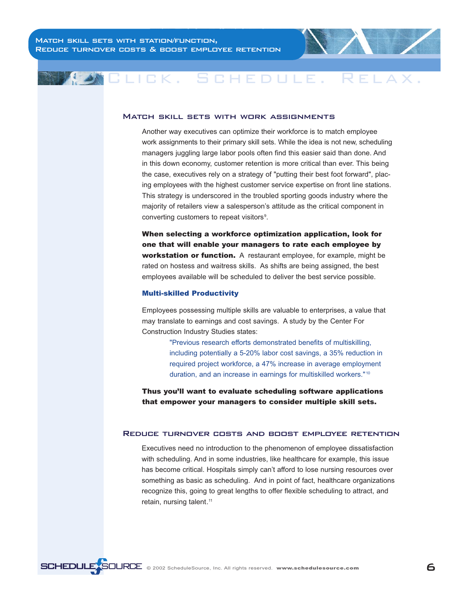

#### Match skill sets with work assignments

Another way executives can optimize their workforce is to match employee work assignments to their primary skill sets. While the idea is not new, scheduling managers juggling large labor pools often find this easier said than done. And in this down economy, customer retention is more critical than ever. This being the case, executives rely on a strategy of "putting their best foot forward", placing employees with the highest customer service expertise on front line stations. This strategy is underscored in the troubled sporting goods industry where the majority of retailers view a salesperson's attitude as the critical component in converting customers to repeat visitors<sup>9</sup>.

When selecting a workforce optimization application, look for one that will enable your managers to rate each employee by workstation or function. A restaurant employee, for example, might be rated on hostess and waitress skills. As shifts are being assigned, the best employees available will be scheduled to deliver the best service possible.

#### Multi-skilled Productivity

Employees possessing multiple skills are valuable to enterprises, a value that may translate to earnings and cost savings. A study by the Center For Construction Industry Studies states:

> "Previous research efforts demonstrated benefits of multiskilling, including potentially a 5-20% labor cost savings, a 35% reduction in required project workforce, a 47% increase in average employment duration, and an increase in earnings for multiskilled workers."<sup>10</sup>

Thus you'll want to evaluate scheduling software applications that empower your managers to consider multiple skill sets.

## Reduce turnover costs and boost employee retention

Executives need no introduction to the phenomenon of employee dissatisfaction with scheduling. And in some industries, like healthcare for example, this issue has become critical. Hospitals simply can't afford to lose nursing resources over something as basic as scheduling. And in point of fact, healthcare organizations recognize this, going to great lengths to offer flexible scheduling to attract, and retain, nursing talent.<sup>11</sup>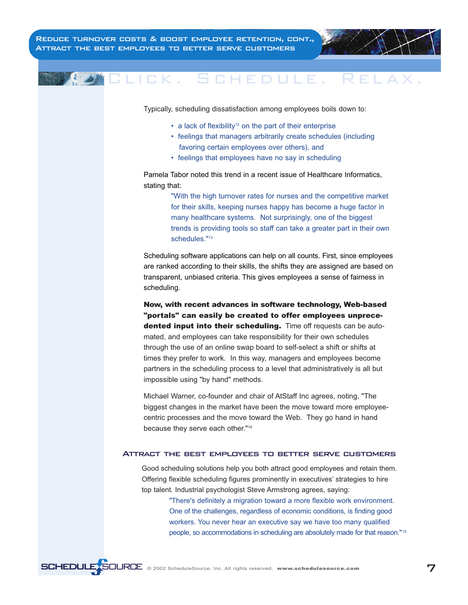

Typically, scheduling dissatisfaction among employees boils down to:

- $\cdot$  a lack of flexibility<sup>12</sup> on the part of their enterprise
- feelings that managers arbitrarily create schedules (including favoring certain employees over others), and
- feelings that employees have no say in scheduling

Pamela Tabor noted this trend in a recent issue of Healthcare Informatics, stating that:

> "With the high turnover rates for nurses and the competitive market for their skills, keeping nurses happy has become a huge factor in many healthcare systems. Not surprisingly, one of the biggest trends is providing tools so staff can take a greater part in their own schedules<sup>"13</sup>

Scheduling software applications can help on all counts. First, since employees are ranked according to their skills, the shifts they are assigned are based on transparent, unbiased criteria. This gives employees a sense of fairness in scheduling.

Now, with recent advances in software technology, Web-based "portals" can easily be created to offer employees unprecedented input into their scheduling. Time off requests can be automated, and employees can take responsibility for their own schedules through the use of an online swap board to self-select a shift or shifts at times they prefer to work. In this way, managers and employees become partners in the scheduling process to a level that administratively is all but impossible using "by hand" methods.

Michael Warner, co-founder and chair of AtStaff Inc agrees, noting, "The biggest changes in the market have been the move toward more employeecentric processes and the move toward the Web. They go hand in hand because they serve each other."14

## Attract the best employees to better serve customers

Good scheduling solutions help you both attract good employees and retain them. Offering flexible scheduling figures prominently in executives' strategies to hire top talent. Industrial psychologist Steve Armstrong agrees, saying:

> "There's definitely a migration toward a more flexible work environment. One of the challenges, regardless of economic conditions, is finding good workers. You never hear an executive say we have too many qualified people, so accommodations in scheduling are absolutely made for that reason."15

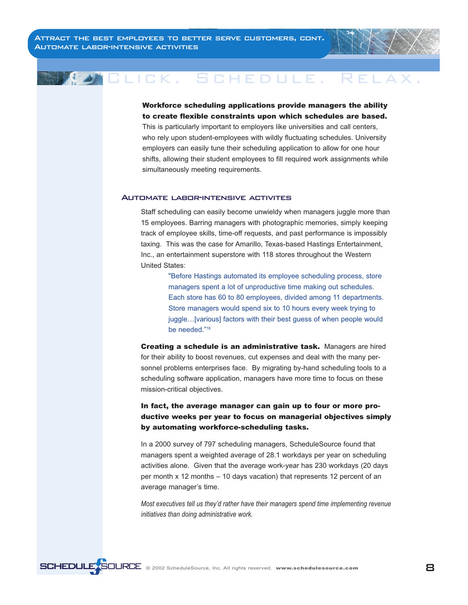# **KANCLICK. SCHEDULE. RE**

Workforce scheduling applications provide managers the ability to create flexible constraints upon which schedules are based. This is particularly important to employers like universities and call centers, who rely upon student-employees with wildly fluctuating schedules. University employers can easily tune their scheduling application to allow for one hour shifts, allowing their student employees to fill required work assignments while simultaneously meeting requirements.

### Automate labor-intensive activites

Staff scheduling can easily become unwieldy when managers juggle more than 15 employees. Barring managers with photographic memories, simply keeping track of employee skills, time-off requests, and past performance is impossibly taxing. This was the case for Amarillo, Texas-based Hastings Entertainment, Inc., an entertainment superstore with 118 stores throughout the Western United States:

> "Before Hastings automated its employee scheduling process, store managers spent a lot of unproductive time making out schedules. Each store has 60 to 80 employees, divided among 11 departments. Store managers would spend six to 10 hours every week trying to juggle…[various] factors with their best guess of when people would be needed."16

Creating a schedule is an administrative task. Managers are hired for their ability to boost revenues, cut expenses and deal with the many personnel problems enterprises face. By migrating by-hand scheduling tools to a scheduling software application, managers have more time to focus on these mission-critical objectives.

# In fact, the average manager can gain up to four or more productive weeks per year to focus on managerial objectives simply by automating workforce-scheduling tasks.

In a 2000 survey of 797 scheduling managers, ScheduleSource found that managers spent a weighted average of 28.1 workdays per year on scheduling activities alone. Given that the average work-year has 230 workdays (20 days per month x 12 months – 10 days vacation) that represents 12 percent of an average manager's time.

*Most executives tell us they'd rather have their managers spend time implementing revenue initiatives than doing administrative work.*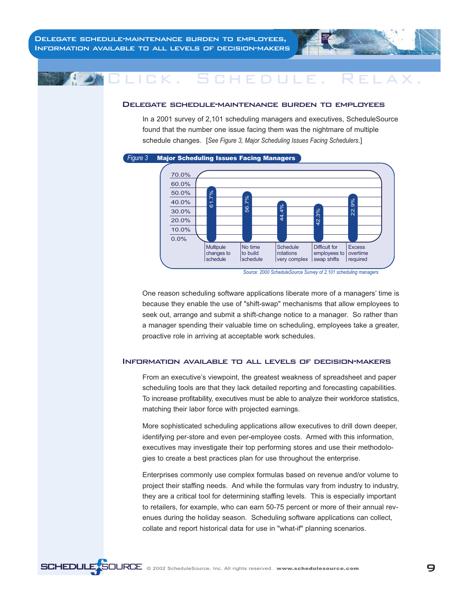Delegate schedule-maintenance burden to employees, Information available to all levels of decision-makers

# GLICK. SCHEDULE

#### Delegate schedule-maintenance burden to employees

In a 2001 survey of 2,101 scheduling managers and executives, ScheduleSource found that the number one issue facing them was the nightmare of multiple schedule changes. [*See Figure 3, Major Scheduling Issues Facing Schedulers*.]



One reason scheduling software applications liberate more of a managers' time is because they enable the use of "shift-swap" mechanisms that allow employees to seek out, arrange and submit a shift-change notice to a manager. So rather than a manager spending their valuable time on scheduling, employees take a greater, proactive role in arriving at acceptable work schedules.

# Information available to all levels of decision-makers

From an executive's viewpoint, the greatest weakness of spreadsheet and paper scheduling tools are that they lack detailed reporting and forecasting capabilities. To increase profitability, executives must be able to analyze their workforce statistics, matching their labor force with projected earnings.

More sophisticated scheduling applications allow executives to drill down deeper, identifying per-store and even per-employee costs. Armed with this information, executives may investigate their top performing stores and use their methodologies to create a best practices plan for use throughout the enterprise.

Enterprises commonly use complex formulas based on revenue and/or volume to project their staffing needs. And while the formulas vary from industry to industry, they are a critical tool for determining staffing levels. This is especially important to retailers, for example, who can earn 50-75 percent or more of their annual revenues during the holiday season. Scheduling software applications can collect, collate and report historical data for use in "what-if" planning scenarios.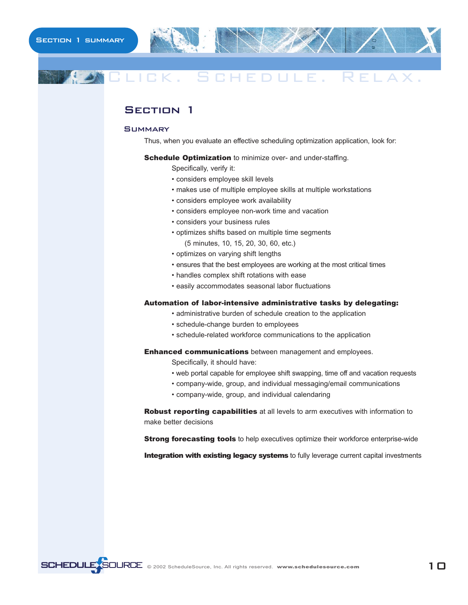

# Section 1

#### **SUMMARY**

Thus, when you evaluate an effective scheduling optimization application, look for:

**Schedule Optimization** to minimize over- and under-staffing.

Specifically, verify it:

- considers employee skill levels
- makes use of multiple employee skills at multiple workstations
- considers employee work availability
- considers employee non-work time and vacation
- considers your business rules
- optimizes shifts based on multiple time segments

(5 minutes, 10, 15, 20, 30, 60, etc.)

- optimizes on varying shift lengths
- ensures that the best employees are working at the most critical times
- handles complex shift rotations with ease
- easily accommodates seasonal labor fluctuations

# Automation of labor-intensive administrative tasks by delegating:

- administrative burden of schedule creation to the application
- schedule-change burden to employees
- schedule-related workforce communications to the application

#### Enhanced communications between management and employees.

- Specifically, it should have:
- web portal capable for employee shift swapping, time off and vacation requests
- company-wide, group, and individual messaging/email communications
- company-wide, group, and individual calendaring

**Robust reporting capabilities** at all levels to arm executives with information to make better decisions

**Strong forecasting tools** to help executives optimize their workforce enterprise-wide

**Integration with existing legacy systems** to fully leverage current capital investments

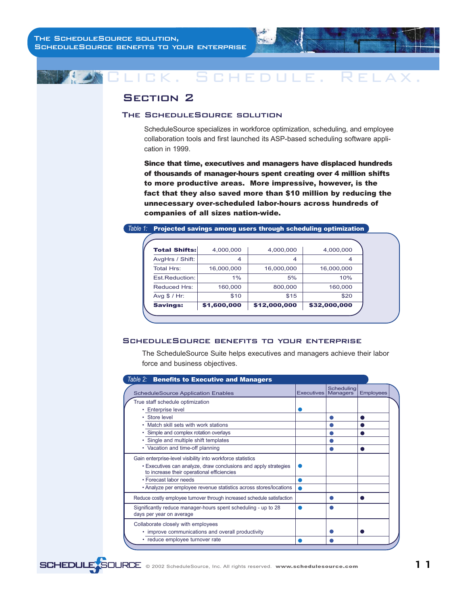# Click. Schedule. Relax.

# Section 2

## The ScheduleSource solution

ScheduleSource specializes in workforce optimization, scheduling, and employee collaboration tools and first launched its ASP-based scheduling software application in 1999.

Since that time, executives and managers have displaced hundreds of thousands of manager-hours spent creating over 4 million shifts to more productive areas. More impressive, however, is the fact that they also saved more than \$10 million by reducing the unnecessary over-scheduled labor-hours across hundreds of companies of all sizes nation-wide.

| <b>Savings:</b>      | \$1,600,000 | \$12,000,000 | \$32,000,000 |
|----------------------|-------------|--------------|--------------|
| Avg $$/$ Hr:         | \$10        | \$15         | \$20         |
| <b>Reduced Hrs:</b>  | 160,000     | 800,000      | 160,000      |
| Est.Reduction:       | $1\%$       | 5%           | 10%          |
| Total Hrs:           | 16,000,000  | 16,000,000   | 16,000,000   |
| AvgHrs / Shift:      | 4           | 4            | 4            |
| <b>Total Shifts:</b> | 4.000.000   | 4,000,000    | 4,000,000    |

# *Table 1:* Projected savings among users through scheduling optimization

## ScheduleSource benefits to your enterprise

The ScheduleSource Suite helps executives and managers achieve their labor force and business objectives.

| <b>Table 2: Benefits to Executive and Managers</b>                                                            |                   |                               |                  |
|---------------------------------------------------------------------------------------------------------------|-------------------|-------------------------------|------------------|
| <b>ScheduleSource Application Enables</b>                                                                     | <b>Executives</b> | Schedulina<br><b>Managers</b> | <b>Employees</b> |
| True staff schedule optimization                                                                              |                   |                               |                  |
| • Enterprise level                                                                                            |                   |                               |                  |
| • Store level                                                                                                 |                   | œ                             |                  |
| • Match skill sets with work stations                                                                         |                   |                               |                  |
| • Simple and complex rotation overlays                                                                        |                   |                               |                  |
| • Single and multiple shift templates                                                                         |                   |                               |                  |
| • Vacation and time-off planning                                                                              |                   | m                             |                  |
| Gain enterprise-level visibility into workforce statistics                                                    |                   |                               |                  |
| • Executives can analyze, draw conclusions and apply strategies<br>to increase their operational efficiencies |                   |                               |                  |
| • Forecast labor needs                                                                                        |                   |                               |                  |
| • Analyze per employee revenue statistics across stores/locations                                             |                   |                               |                  |
| Reduce costly employee turnover through increased schedule satisfaction                                       |                   |                               |                  |
| Significantly reduce manager-hours spent scheduling - up to 28<br>days per year on average                    |                   |                               |                  |
| Collaborate closely with employees                                                                            |                   |                               |                  |
| • improve communications and overall productivity                                                             |                   |                               |                  |
| • reduce employee turnover rate                                                                               |                   |                               |                  |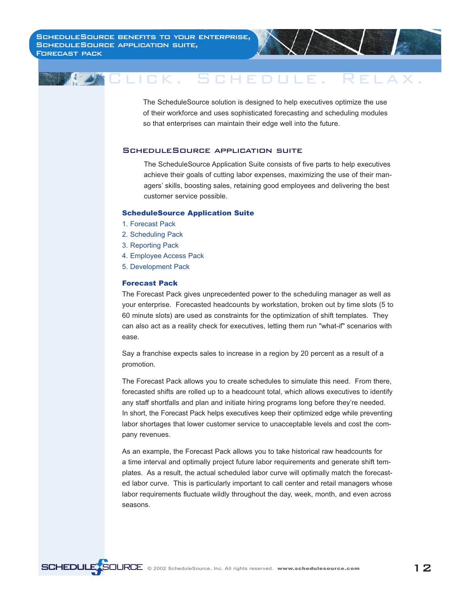ScheduleSource benefits to your enterprise, ScheduleSource application suite, Forecast pack

# CLICK. SCHEDULE

The ScheduleSource solution is designed to help executives optimize the use of their workforce and uses sophisticated forecasting and scheduling modules so that enterprises can maintain their edge well into the future.

# ScheduleSource application suite

The ScheduleSource Application Suite consists of five parts to help executives achieve their goals of cutting labor expenses, maximizing the use of their managers' skills, boosting sales, retaining good employees and delivering the best customer service possible.

### ScheduleSource Application Suite

- 1. Forecast Pack
- 2. Scheduling Pack
- 3. Reporting Pack
- 4. Employee Access Pack
- 5. Development Pack

# Forecast Pack

The Forecast Pack gives unprecedented power to the scheduling manager as well as your enterprise. Forecasted headcounts by workstation, broken out by time slots (5 to 60 minute slots) are used as constraints for the optimization of shift templates. They can also act as a reality check for executives, letting them run "what-if" scenarios with ease.

Say a franchise expects sales to increase in a region by 20 percent as a result of a promotion.

The Forecast Pack allows you to create schedules to simulate this need. From there, forecasted shifts are rolled up to a headcount total, which allows executives to identify any staff shortfalls and plan and initiate hiring programs long before they're needed. In short, the Forecast Pack helps executives keep their optimized edge while preventing labor shortages that lower customer service to unacceptable levels and cost the company revenues.

As an example, the Forecast Pack allows you to take historical raw headcounts for a time interval and optimally project future labor requirements and generate shift templates. As a result, the actual scheduled labor curve will optimally match the forecasted labor curve. This is particularly important to call center and retail managers whose labor requirements fluctuate wildly throughout the day, week, month, and even across seasons.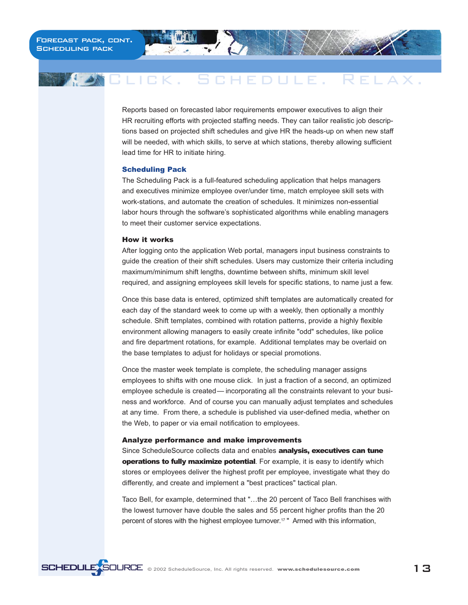# CLICK. SCHEDULE. REL

Reports based on forecasted labor requirements empower executives to align their HR recruiting efforts with projected staffing needs. They can tailor realistic job descriptions based on projected shift schedules and give HR the heads-up on when new staff will be needed, with which skills, to serve at which stations, thereby allowing sufficient lead time for HR to initiate hiring.

#### Scheduling Pack

The Scheduling Pack is a full-featured scheduling application that helps managers and executives minimize employee over/under time, match employee skill sets with work-stations, and automate the creation of schedules. It minimizes non-essential labor hours through the software's sophisticated algorithms while enabling managers to meet their customer service expectations.

## How it works

After logging onto the application Web portal, managers input business constraints to guide the creation of their shift schedules. Users may customize their criteria including maximum/minimum shift lengths, downtime between shifts, minimum skill level required, and assigning employees skill levels for specific stations, to name just a few.

Once this base data is entered, optimized shift templates are automatically created for each day of the standard week to come up with a weekly, then optionally a monthly schedule. Shift templates, combined with rotation patterns, provide a highly flexible environment allowing managers to easily create infinite "odd" schedules, like police and fire department rotations, for example. Additional templates may be overlaid on the base templates to adjust for holidays or special promotions.

Once the master week template is complete, the scheduling manager assigns employees to shifts with one mouse click. In just a fraction of a second, an optimized employee schedule is created— incorporating all the constraints relevant to your business and workforce. And of course you can manually adjust templates and schedules at any time. From there, a schedule is published via user-defined media, whether on the Web, to paper or via email notification to employees.

#### Analyze performance and make improvements

Since ScheduleSource collects data and enables **analysis, executives can tune** operations to fully maximize potential. For example, it is easy to identify which stores or employees deliver the highest profit per employee, investigate what they do differently, and create and implement a "best practices" tactical plan.

Taco Bell, for example, determined that "…the 20 percent of Taco Bell franchises with the lowest turnover have double the sales and 55 percent higher profits than the 20 percent of stores with the highest employee turnover.17 " Armed with this information,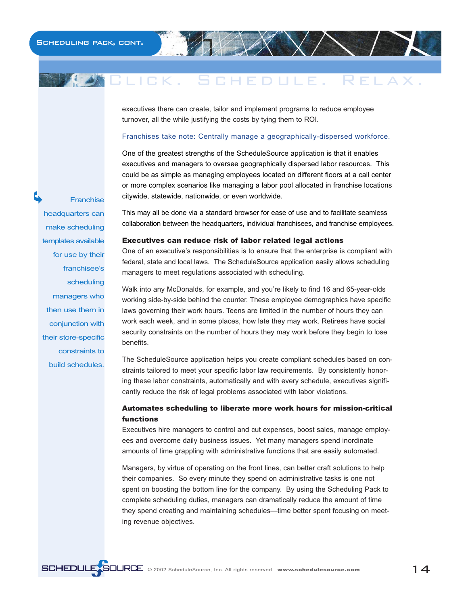# **KV 4 CLICK. SCHEDULE. RELAX.**

AN Y

executives there can create, tailor and implement programs to reduce employee turnover, all the while justifying the costs by tying them to ROI.

## Franchises take note: Centrally manage a geographically-dispersed workforce.

One of the greatest strengths of the ScheduleSource application is that it enables executives and managers to oversee geographically dispersed labor resources. This could be as simple as managing employees located on different floors at a call center or more complex scenarios like managing a labor pool allocated in franchise locations citywide, statewide, nationwide, or even worldwide.

This may all be done via a standard browser for ease of use and to facilitate seamless collaboration between the headquarters, individual franchisees, and franchise employees.

#### Executives can reduce risk of labor related legal actions

One of an executive's responsibilities is to ensure that the enterprise is compliant with federal, state and local laws. The ScheduleSource application easily allows scheduling managers to meet regulations associated with scheduling.

Walk into any McDonalds, for example, and you're likely to find 16 and 65-year-olds working side-by-side behind the counter. These employee demographics have specific laws governing their work hours. Teens are limited in the number of hours they can work each week, and in some places, how late they may work. Retirees have social security constraints on the number of hours they may work before they begin to lose benefits.

The ScheduleSource application helps you create compliant schedules based on constraints tailored to meet your specific labor law requirements. By consistently honoring these labor constraints, automatically and with every schedule, executives significantly reduce the risk of legal problems associated with labor violations.

# Automates scheduling to liberate more work hours for mission-critical functions

Executives hire managers to control and cut expenses, boost sales, manage employees and overcome daily business issues. Yet many managers spend inordinate amounts of time grappling with administrative functions that are easily automated.

Managers, by virtue of operating on the front lines, can better craft solutions to help their companies. So every minute they spend on administrative tasks is one not spent on boosting the bottom line for the company. By using the Scheduling Pack to complete scheduling duties, managers can dramatically reduce the amount of time they spend creating and maintaining schedules—time better spent focusing on meeting revenue objectives.

# Franchise headquarters can make scheduling templates available for use by their franchisee's scheduling managers who then use them in conjunction with their store-specific constraints to build schedules.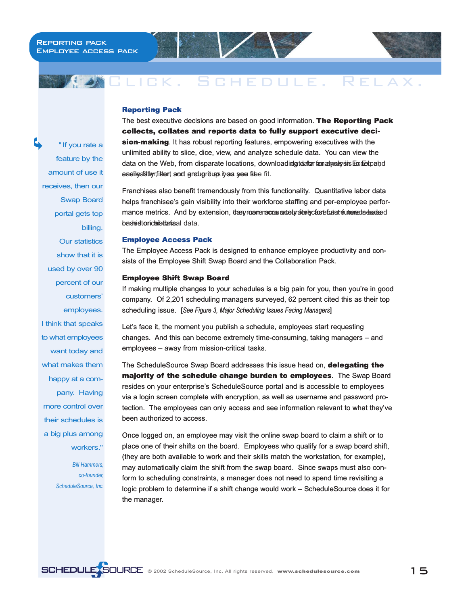

## Reporting Pack

The best executive decisions are based on good information. The Reporting Pack collects, collates and reports data to fully support executive decision-making. It has robust reporting features, empowering executives with the unlimited ability to slice, dice, view, and analyze schedule data. You can view the data on the Web, from disparate locations, downloadi**ng tdatar fanalysily sin Eixdex**cel;d ea dil ga silter, filttert and groduproluans it als so ea fitee fit.

Franchises also benefit tremendously from this functionality. Quantitative labor data helps franchisee's gain visibility into their workforce staffing and per-employee performance metrics. And by extension, they manemaxeu addety afterly affected the reds denoted **basheidon dailstharia**al data.

### Employee Access Pack

The Employee Access Pack is designed to enhance employee productivity and consists of the Employee Shift Swap Board and the Collaboration Pack.

### Employee Shift Swap Board

If making multiple changes to your schedules is a big pain for you, then you're in good company. Of 2,201 scheduling managers surveyed, 62 percent cited this as their top scheduling issue. [*See Figure 3, Major Scheduling Issues Facing Managers*]

Let's face it, the moment you publish a schedule, employees start requesting changes. And this can become extremely time-consuming, taking managers – and employees – away from mission-critical tasks.

The ScheduleSource Swap Board addresses this issue head on, delegating the majority of the schedule change burden to employees. The Swap Board resides on your enterprise's ScheduleSource portal and is accessible to employees via a login screen complete with encryption, as well as username and password protection. The employees can only access and see information relevant to what they've been authorized to access.

Once logged on, an employee may visit the online swap board to claim a shift or to place one of their shifts on the board. Employees who qualify for a swap board shift, (they are both available to work and their skills match the workstation, for example), may automatically claim the shift from the swap board. Since swaps must also conform to scheduling constraints, a manager does not need to spend time revisiting a logic problem to determine if a shift change would work – ScheduleSource does it for the manager.

"If you rate a feature by the amount of use it receives, then our Swap Board portal gets top billing. Our statistics show that it is used by over 90 percent of our customers' employees. I think that speaks to what employees want today and what makes them happy at a company. Having more control over their schedules is a big plus among workers."

> *Bill Hammers, co-founder, ScheduleSource, Inc.*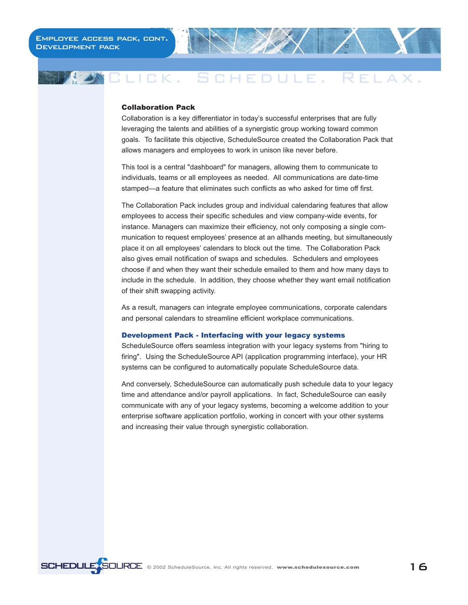

#### Collaboration Pack

Collaboration is a key differentiator in today's successful enterprises that are fully leveraging the talents and abilities of a synergistic group working toward common goals. To facilitate this objective, ScheduleSource created the Collaboration Pack that allows managers and employees to work in unison like never before.

This tool is a central "dashboard" for managers, allowing them to communicate to individuals, teams or all employees as needed. All communications are date-time stamped—a feature that eliminates such conflicts as who asked for time off first.

The Collaboration Pack includes group and individual calendaring features that allow employees to access their specific schedules and view company-wide events, for instance. Managers can maximize their efficiency, not only composing a single communication to request employees' presence at an allhands meeting, but simultaneously place it on all employees' calendars to block out the time. The Collaboration Pack also gives email notification of swaps and schedules. Schedulers and employees choose if and when they want their schedule emailed to them and how many days to include in the schedule. In addition, they choose whether they want email notification of their shift swapping activity.

As a result, managers can integrate employee communications, corporate calendars and personal calendars to streamline efficient workplace communications.

#### Development Pack - Interfacing with your legacy systems

ScheduleSource offers seamless integration with your legacy systems from "hiring to firing". Using the ScheduleSource API (application programming interface), your HR systems can be configured to automatically populate ScheduleSource data.

And conversely, ScheduleSource can automatically push schedule data to your legacy time and attendance and/or payroll applications. In fact, ScheduleSource can easily communicate with any of your legacy systems, becoming a welcome addition to your enterprise software application portfolio, working in concert with your other systems and increasing their value through synergistic collaboration.

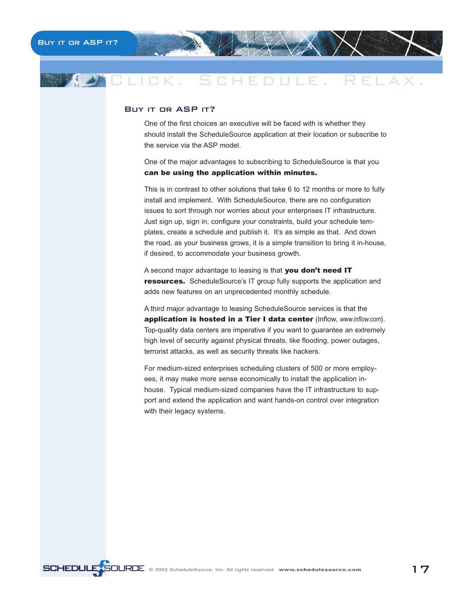

# Buy it or ASP it?

One of the first choices an executive will be faced with is whether they should install the ScheduleSource application at their location or subscribe to the service via the ASP model.

One of the major advantages to subscribing to ScheduleSource is that you can be using the application within minutes.

This is in contrast to other solutions that take 6 to 12 months or more to fully install and implement. With ScheduleSource, there are no configuration issues to sort through nor worries about your enterprises IT infrastructure. Just sign up, sign in, configure your constraints, build your schedule templates, create a schedule and publish it. It's as simple as that. And down the road, as your business grows, it is a simple transition to bring it in-house, if desired, to accommodate your business growth.

A second major advantage to leasing is that you don't need IT resources. ScheduleSource's IT group fully supports the application and adds new features on an unprecedented monthly schedule.

A third major advantage to leasing ScheduleSource services is that the application is hosted in a Tier I data center (Inflow, *www.inflow.com*). Top-quality data centers are imperative if you want to guarantee an extremely high level of security against physical threats, like flooding, power outages, terrorist attacks, as well as security threats like hackers.

For medium-sized enterprises scheduling clusters of 500 or more employees, it may make more sense economically to install the application inhouse. Typical medium-sized companies have the IT infrastructure to support and extend the application and want hands-on control over integration with their legacy systems.

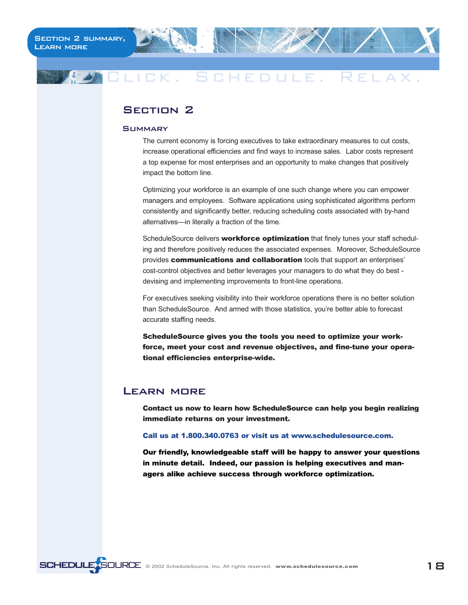

# Section 2

## **SUMMARY**

The current economy is forcing executives to take extraordinary measures to cut costs, increase operational efficiencies and find ways to increase sales. Labor costs represent a top expense for most enterprises and an opportunity to make changes that positively impact the bottom line.

Optimizing your workforce is an example of one such change where you can empower managers and employees. Software applications using sophisticated algorithms perform consistently and significantly better, reducing scheduling costs associated with by-hand alternatives—in literally a fraction of the time.

ScheduleSource delivers workforce optimization that finely tunes your staff scheduling and therefore positively reduces the associated expenses. Moreover, ScheduleSource provides communications and collaboration tools that support an enterprises' cost-control objectives and better leverages your managers to do what they do best devising and implementing improvements to front-line operations.

For executives seeking visibility into their workforce operations there is no better solution than ScheduleSource. And armed with those statistics, you're better able to forecast accurate staffing needs.

ScheduleSource gives you the tools you need to optimize your workforce, meet your cost and revenue objectives, and fine-tune your operational efficiencies enterprise-wide.

# Learn more

Contact us now to learn how ScheduleSource can help you begin realizing immediate returns on your investment.

#### Call us at 1.800.340.0763 or visit us at www.schedulesource.com.

Our friendly, knowledgeable staff will be happy to answer your questions in minute detail. Indeed, our passion is helping executives and managers alike achieve success through workforce optimization.